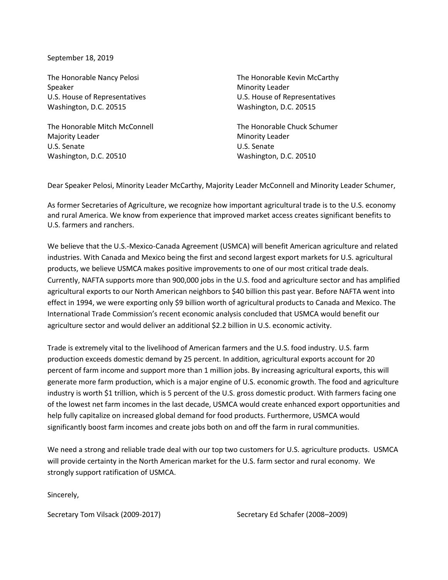September 18, 2019

The Honorable Nancy Pelosi Speaker U.S. House of Representatives Washington, D.C. 20515

The Honorable Mitch McConnell Majority Leader U.S. Senate Washington, D.C. 20510

The Honorable Kevin McCarthy Minority Leader U.S. House of Representatives Washington, D.C. 20515

The Honorable Chuck Schumer Minority Leader U.S. Senate Washington, D.C. 20510

Dear Speaker Pelosi, Minority Leader McCarthy, Majority Leader McConnell and Minority Leader Schumer,

As former Secretaries of Agriculture, we recognize how important agricultural trade is to the U.S. economy and rural America. We know from experience that improved market access creates significant benefits to U.S. farmers and ranchers.

We believe that the U.S.-Mexico-Canada Agreement (USMCA) will benefit American agriculture and related industries. With Canada and Mexico being the first and second largest export markets for U.S. agricultural products, we believe USMCA makes positive improvements to one of our most critical trade deals. Currently, NAFTA supports more than 900,000 jobs in the U.S. food and agriculture sector and has amplified agricultural exports to our North American neighbors to \$40 billion this past year. Before NAFTA went into effect in 1994, we were exporting only \$9 billion worth of agricultural products to Canada and Mexico. The International Trade Commission's recent economic analysis concluded that USMCA would benefit our agriculture sector and would deliver an additional \$2.2 billion in U.S. economic activity.

Trade is extremely vital to the livelihood of American farmers and the U.S. food industry. U.S. farm production exceeds domestic demand by 25 percent. In addition, agricultural exports account for 20 percent of farm income and support more than 1 million jobs. By increasing agricultural exports, this will generate more farm production, which is a major engine of U.S. economic growth. The food and agriculture industry is worth \$1 trillion, which is 5 percent of the U.S. gross domestic product. With farmers facing one of the lowest net farm incomes in the last decade, USMCA would create enhanced export opportunities and help fully capitalize on increased global demand for food products. Furthermore, USMCA would significantly boost farm incomes and create jobs both on and off the farm in rural communities.

We need a strong and reliable trade deal with our top two customers for U.S. agriculture products. USMCA will provide certainty in the North American market for the U.S. farm sector and rural economy. We strongly support ratification of USMCA.

Sincerely,

Secretary Tom Vilsack (2009-2017) Secretary Ed Schafer (2008–2009)